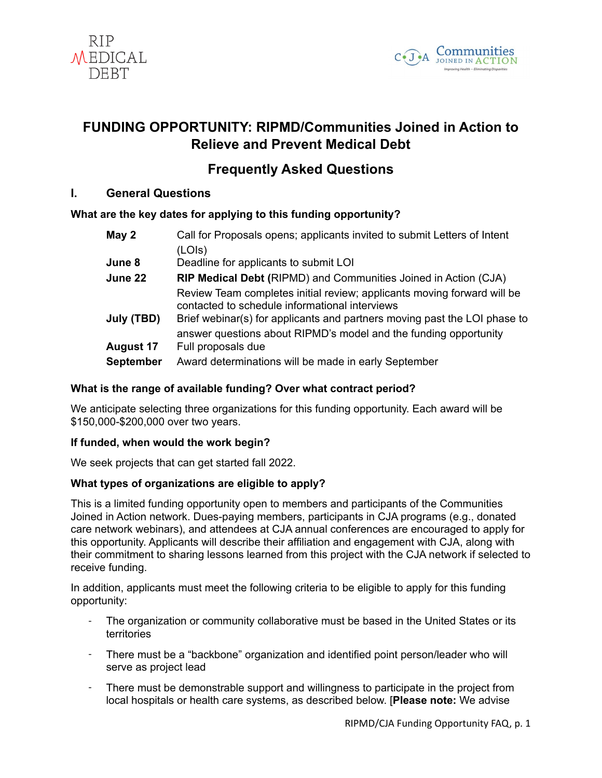



# **FUNDING OPPORTUNITY: RIPMD/Communities Joined in Action to Relieve and Prevent Medical Debt**

# **Frequently Asked Questions**

# **I. General Questions**

# **What are the key dates for applying to this funding opportunity?**

| May 2      | Call for Proposals opens; applicants invited to submit Letters of Intent                                                  |
|------------|---------------------------------------------------------------------------------------------------------------------------|
|            | (LOIs)                                                                                                                    |
| June 8     | Deadline for applicants to submit LOI                                                                                     |
| June 22    | <b>RIP Medical Debt (RIPMD) and Communities Joined in Action (CJA)</b>                                                    |
|            | Review Team completes initial review; applicants moving forward will be<br>contacted to schedule informational interviews |
| July (TBD) | Brief webinar(s) for applicants and partners moving past the LOI phase to                                                 |
|            | answer questions about RIPMD's model and the funding opportunity                                                          |
| August 17  | Full proposals due                                                                                                        |
| September  | Award determinations will be made in early September                                                                      |
|            |                                                                                                                           |

# **What is the range of available funding? Over what contract period?**

We anticipate selecting three organizations for this funding opportunity. Each award will be \$150,000-\$200,000 over two years.

## **If funded, when would the work begin?**

We seek projects that can get started fall 2022.

## **What types of organizations are eligible to apply?**

This is a limited funding opportunity open to members and participants of the Communities Joined in Action network. Dues-paying members, participants in CJA programs (e.g., donated care network webinars), and attendees at CJA annual conferences are encouraged to apply for this opportunity. Applicants will describe their affiliation and engagement with CJA, along with their commitment to sharing lessons learned from this project with the CJA network if selected to receive funding.

In addition, applicants must meet the following criteria to be eligible to apply for this funding opportunity:

- The organization or community collaborative must be based in the United States or its territories
- There must be a "backbone" organization and identified point person/leader who will serve as project lead
- There must be demonstrable support and willingness to participate in the project from local hospitals or health care systems, as described below. [**Please note:** We advise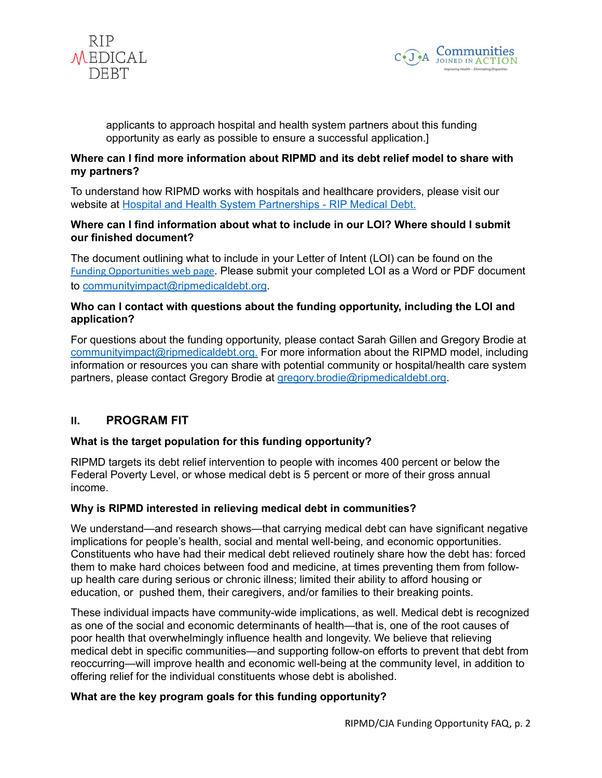



applicants to approach hospital and health system partners about this funding opportunity as early as possible to ensure a successful application.]

#### **Where can I find more information about RIPMD and its debt relief model to share with my partners?**

To understand how RIPMD works with hospitals and healthcare providers, please visit our website at [Hospital and Health System Partnerships - RIP Medical Debt.](https://ripmedicaldebt.org/hospitals/)

#### **Where can I find information about what to include in our LOI? Where should I submit our finished document?**

The document outlining what to include in your Letter of Intent (LOI) can be found on the [Funding Opportunities web page](https://www.cjaonline.net/about/funding-opportunities/). Please submit your completed LOI as a Word or PDF document to [communityimpact@ripmedicaldebt.org](mailto:communityimpactpilot@RIPMD.org).

## **Who can I contact with questions about the funding opportunity, including the LOI and application?**

For questions about the funding opportunity, please contact Sarah Gillen and Gregory Brodie at [communityimpact@ripmedicaldebt.org.](mailto:communityimpact@ripmedicaldebt.org) For more information about the RIPMD model, including information or resources you can share with potential community or hospital/health care system partners, please contact Gregory Brodie at [gregory.brodie@ripmedicaldebt.org](mailto:gregory.brodie@ripmedicaldebt.org).

# **II. PROGRAM FIT**

## **What is the target population for this funding opportunity?**

RIPMD targets its debt relief intervention to people with incomes 400 percent or below the Federal Poverty Level, or whose medical debt is 5 percent or more of their gross annual income.

## **Why is RIPMD interested in relieving medical debt in communities?**

We understand—and research shows—that carrying medical debt can have significant negative implications for people's health, social and mental well-being, and economic opportunities. Constituents who have had their medical debt relieved routinely share how the debt has: forced them to make hard choices between food and medicine, at times preventing them from followup health care during serious or chronic illness; limited their ability to afford housing or education, or pushed them, their caregivers, and/or families to their breaking points.

These individual impacts have community-wide implications, as well. Medical debt is recognized as one of the social and economic determinants of health—that is, one of the root causes of poor health that overwhelmingly influence health and longevity. We believe that relieving medical debt in specific communities—and supporting follow-on efforts to prevent that debt from reoccurring—will improve health and economic well-being at the community level, in addition to offering relief for the individual constituents whose debt is abolished.

#### **What are the key program goals for this funding opportunity?**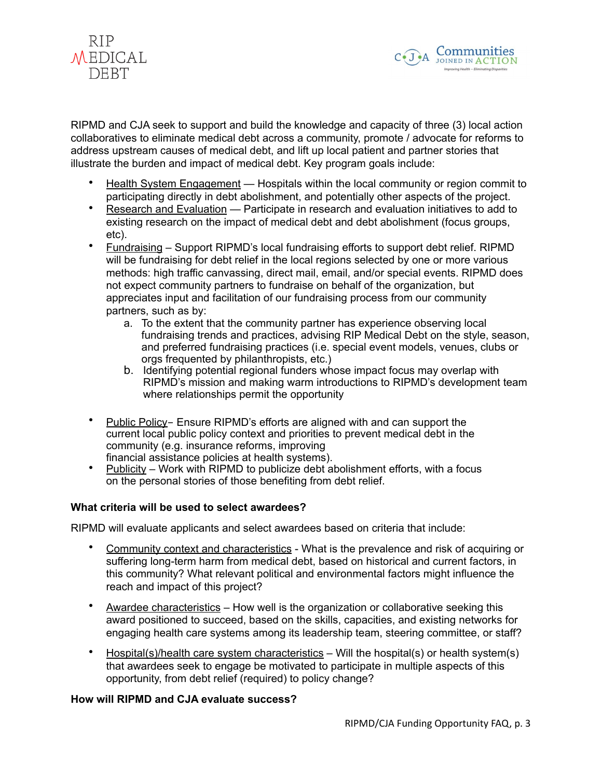



RIPMD and CJA seek to support and build the knowledge and capacity of three (3) local action collaboratives to eliminate medical debt across a community, promote / advocate for reforms to address upstream causes of medical debt, and lift up local patient and partner stories that illustrate the burden and impact of medical debt. Key program goals include:

- Health System Engagement Hospitals within the local community or region commit to participating directly in debt abolishment, and potentially other aspects of the project.
- Research and Evaluation Participate in research and evaluation initiatives to add to existing research on the impact of medical debt and debt abolishment (focus groups, etc).
- Fundraising Support RIPMD's local fundraising efforts to support debt relief. RIPMD will be fundraising for debt relief in the local regions selected by one or more various methods: high traffic canvassing, direct mail, email, and/or special events. RIPMD does not expect community partners to fundraise on behalf of the organization, but appreciates input and facilitation of our fundraising process from our community partners, such as by:
	- a. To the extent that the community partner has experience observing local fundraising trends and practices, advising RIP Medical Debt on the style, season, and preferred fundraising practices (i.e. special event models, venues, clubs or orgs frequented by philanthropists, etc.)
	- b. Identifying potential regional funders whose impact focus may overlap with RIPMD's mission and making warm introductions to RIPMD's development team where relationships permit the opportunity
- Public Policy- Ensure RIPMD's efforts are aligned with and can support the current local public policy context and priorities to prevent medical debt in the community (e.g. insurance reforms, improving financial assistance policies at health systems).
- Publicity Work with RIPMD to publicize debt abolishment efforts, with a focus on the personal stories of those benefiting from debt relief.

## **What criteria will be used to select awardees?**

RIPMD will evaluate applicants and select awardees based on criteria that include:

- Community context and characteristics What is the prevalence and risk of acquiring or suffering long-term harm from medical debt, based on historical and current factors, in this community? What relevant political and environmental factors might influence the reach and impact of this project?
- Awardee characteristics How well is the organization or collaborative seeking this award positioned to succeed, based on the skills, capacities, and existing networks for engaging health care systems among its leadership team, steering committee, or staff?
- Hospital(s)/health care system characteristics Will the hospital(s) or health system(s) that awardees seek to engage be motivated to participate in multiple aspects of this opportunity, from debt relief (required) to policy change?

#### **How will RIPMD and CJA evaluate success?**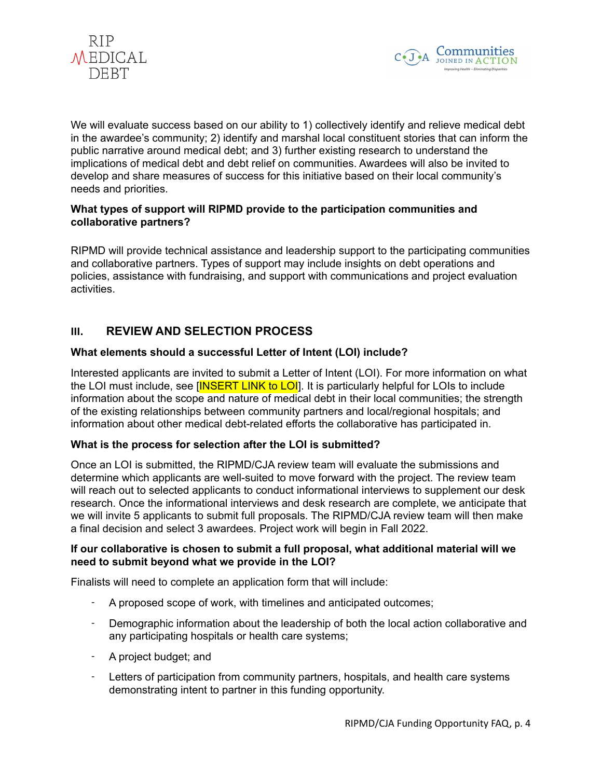



We will evaluate success based on our ability to 1) collectively identify and relieve medical debt in the awardee's community; 2) identify and marshal local constituent stories that can inform the public narrative around medical debt; and 3) further existing research to understand the implications of medical debt and debt relief on communities. Awardees will also be invited to develop and share measures of success for this initiative based on their local community's needs and priorities.

#### **What types of support will RIPMD provide to the participation communities and collaborative partners?**

RIPMD will provide technical assistance and leadership support to the participating communities and collaborative partners. Types of support may include insights on debt operations and policies, assistance with fundraising, and support with communications and project evaluation activities.

# **III. REVIEW AND SELECTION PROCESS**

## **What elements should a successful Letter of Intent (LOI) include?**

Interested applicants are invited to submit a Letter of Intent (LOI). For more information on what the LOI must include, see [INSERT LINK to LOI]. It is particularly helpful for LOIs to include information about the scope and nature of medical debt in their local communities; the strength of the existing relationships between community partners and local/regional hospitals; and information about other medical debt-related efforts the collaborative has participated in.

## **What is the process for selection after the LOI is submitted?**

Once an LOI is submitted, the RIPMD/CJA review team will evaluate the submissions and determine which applicants are well-suited to move forward with the project. The review team will reach out to selected applicants to conduct informational interviews to supplement our desk research. Once the informational interviews and desk research are complete, we anticipate that we will invite 5 applicants to submit full proposals. The RIPMD/CJA review team will then make a final decision and select 3 awardees. Project work will begin in Fall 2022.

#### **If our collaborative is chosen to submit a full proposal, what additional material will we need to submit beyond what we provide in the LOI?**

Finalists will need to complete an application form that will include:

- A proposed scope of work, with timelines and anticipated outcomes;
- Demographic information about the leadership of both the local action collaborative and any participating hospitals or health care systems;
- A project budget; and
- Letters of participation from community partners, hospitals, and health care systems demonstrating intent to partner in this funding opportunity.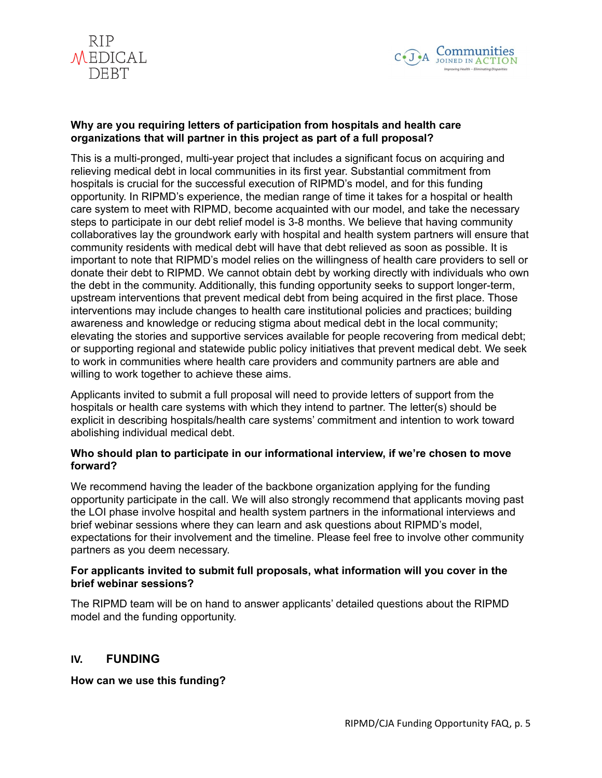



#### **Why are you requiring letters of participation from hospitals and health care organizations that will partner in this project as part of a full proposal?**

This is a multi-pronged, multi-year project that includes a significant focus on acquiring and relieving medical debt in local communities in its first year. Substantial commitment from hospitals is crucial for the successful execution of RIPMD's model, and for this funding opportunity. In RIPMD's experience, the median range of time it takes for a hospital or health care system to meet with RIPMD, become acquainted with our model, and take the necessary steps to participate in our debt relief model is 3-8 months. We believe that having community collaboratives lay the groundwork early with hospital and health system partners will ensure that community residents with medical debt will have that debt relieved as soon as possible. It is important to note that RIPMD's model relies on the willingness of health care providers to sell or donate their debt to RIPMD. We cannot obtain debt by working directly with individuals who own the debt in the community. Additionally, this funding opportunity seeks to support longer-term, upstream interventions that prevent medical debt from being acquired in the first place. Those interventions may include changes to health care institutional policies and practices; building awareness and knowledge or reducing stigma about medical debt in the local community; elevating the stories and supportive services available for people recovering from medical debt; or supporting regional and statewide public policy initiatives that prevent medical debt. We seek to work in communities where health care providers and community partners are able and willing to work together to achieve these aims.

Applicants invited to submit a full proposal will need to provide letters of support from the hospitals or health care systems with which they intend to partner. The letter(s) should be explicit in describing hospitals/health care systems' commitment and intention to work toward abolishing individual medical debt.

#### **Who should plan to participate in our informational interview, if we're chosen to move forward?**

We recommend having the leader of the backbone organization applying for the funding opportunity participate in the call. We will also strongly recommend that applicants moving past the LOI phase involve hospital and health system partners in the informational interviews and brief webinar sessions where they can learn and ask questions about RIPMD's model, expectations for their involvement and the timeline. Please feel free to involve other community partners as you deem necessary.

## **For applicants invited to submit full proposals, what information will you cover in the brief webinar sessions?**

The RIPMD team will be on hand to answer applicants' detailed questions about the RIPMD model and the funding opportunity.

## **IV. FUNDING**

**How can we use this funding?**